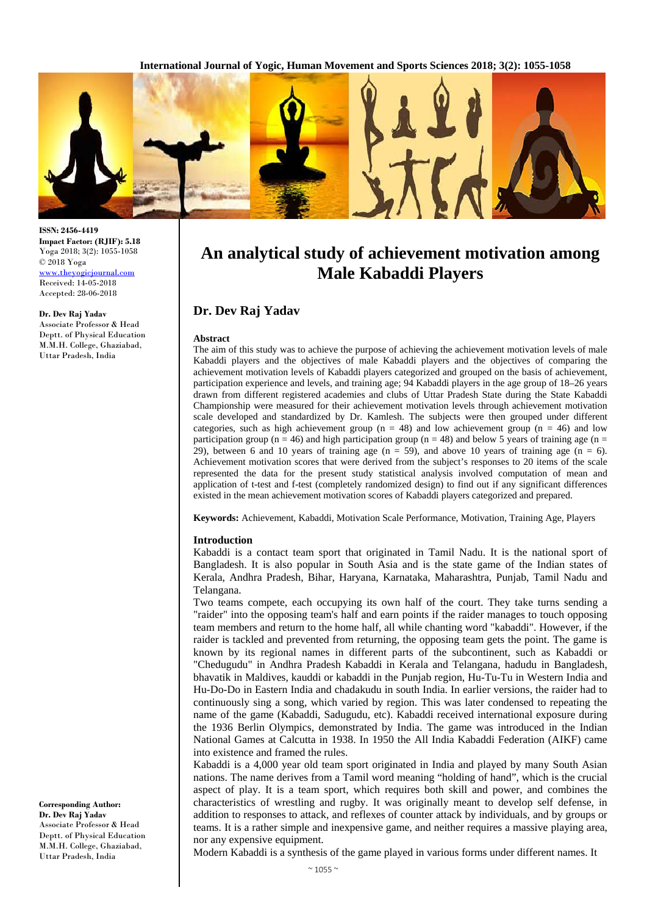**International Journal of Yogic, Human Movement and Sports Sciences 2018; 3(2): 1055-1058**



**ISSN: 2456-4419 Impact Factor: (RJIF): 5.18** Yoga 2018; 3(2): 1055-1058 © 2018 Yoga www.theyogicjournal.com Received: 14-05-2018 Accepted: 28-06-2018

#### **Dr. Dev Raj Yadav**

Associate Professor & Head Deptt. of Physical Education M.M.H. College, Ghaziabad, Uttar Pradesh, India

**An analytical study of achievement motivation among Male Kabaddi Players**

# **Dr. Dev Raj Yadav**

#### **Abstract**

The aim of this study was to achieve the purpose of achieving the achievement motivation levels of male Kabaddi players and the objectives of male Kabaddi players and the objectives of comparing the achievement motivation levels of Kabaddi players categorized and grouped on the basis of achievement, participation experience and levels, and training age; 94 Kabaddi players in the age group of 18–26 years drawn from different registered academies and clubs of Uttar Pradesh State during the State Kabaddi Championship were measured for their achievement motivation levels through achievement motivation scale developed and standardized by Dr. Kamlesh. The subjects were then grouped under different categories, such as high achievement group ( $n = 48$ ) and low achievement group ( $n = 46$ ) and low participation group (n = 46) and high participation group (n = 48) and below 5 years of training age (n = 29), between 6 and 10 years of training age  $(n = 59)$ , and above 10 years of training age  $(n = 6)$ . Achievement motivation scores that were derived from the subject's responses to 20 items of the scale represented the data for the present study statistical analysis involved computation of mean and application of t-test and f-test (completely randomized design) to find out if any significant differences existed in the mean achievement motivation scores of Kabaddi players categorized and prepared.

**Keywords:** Achievement, Kabaddi, Motivation Scale Performance, Motivation, Training Age, Players

#### **Introduction**

Kabaddi is a contact team sport that originated in Tamil Nadu. It is the national sport of Bangladesh. It is also popular in South Asia and is the state game of the Indian states of Kerala, Andhra Pradesh, Bihar, Haryana, Karnataka, Maharashtra, Punjab, Tamil Nadu and Telangana.

Two teams compete, each occupying its own half of the court. They take turns sending a "raider" into the opposing team's half and earn points if the raider manages to touch opposing team members and return to the home half, all while chanting word "kabaddi". However, if the raider is tackled and prevented from returning, the opposing team gets the point. The game is known by its regional names in different parts of the subcontinent, such as Kabaddi or "Chedugudu" in Andhra Pradesh Kabaddi in Kerala and Telangana, hadudu in Bangladesh, bhavatik in Maldives, kauddi or kabaddi in the Punjab region, Hu-Tu-Tu in Western India and Hu-Do-Do in Eastern India and chadakudu in south India. In earlier versions, the raider had to continuously sing a song, which varied by region. This was later condensed to repeating the name of the game (Kabaddi, Sadugudu, etc). Kabaddi received international exposure during the 1936 Berlin Olympics, demonstrated by India. The game was introduced in the Indian National Games at Calcutta in 1938. In 1950 the All India Kabaddi Federation (AIKF) came into existence and framed the rules.

Kabaddi is a 4,000 year old team sport originated in India and played by many South Asian nations. The name derives from a Tamil word meaning "holding of hand", which is the crucial aspect of play. It is a team sport, which requires both skill and power, and combines the characteristics of wrestling and rugby. It was originally meant to develop self defense, in addition to responses to attack, and reflexes of counter attack by individuals, and by groups or teams. It is a rather simple and inexpensive game, and neither requires a massive playing area, nor any expensive equipment.

Modern Kabaddi is a synthesis of the game played in various forms under different names. It

**Corresponding Author: Dr. Dev Raj Yadav** Associate Professor & Head Deptt. of Physical Education M.M.H. College, Ghaziabad, Uttar Pradesh, India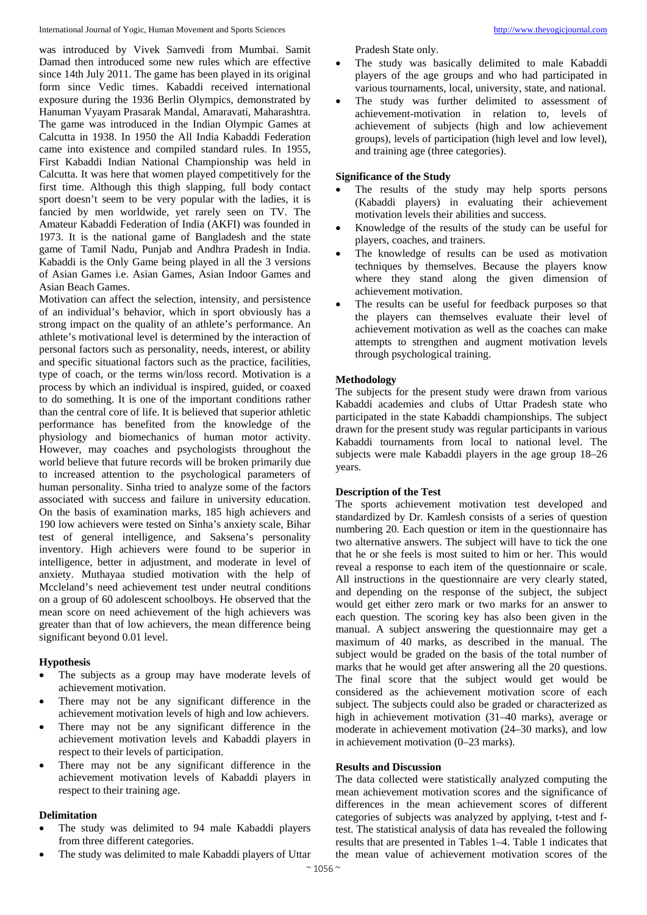was introduced by Vivek Samvedi from Mumbai. Samit Damad then introduced some new rules which are effective since 14th July 2011. The game has been played in its original form since Vedic times. Kabaddi received international exposure during the 1936 Berlin Olympics, demonstrated by Hanuman Vyayam Prasarak Mandal, Amaravati, Maharashtra. The game was introduced in the Indian Olympic Games at Calcutta in 1938. In 1950 the All India Kabaddi Federation came into existence and compiled standard rules. In 1955, First Kabaddi Indian National Championship was held in Calcutta. It was here that women played competitively for the first time. Although this thigh slapping, full body contact sport doesn't seem to be very popular with the ladies, it is fancied by men worldwide, yet rarely seen on TV. The Amateur Kabaddi Federation of India (AKFI) was founded in 1973. It is the national game of Bangladesh and the state game of Tamil Nadu, Punjab and Andhra Pradesh in India. Kabaddi is the Only Game being played in all the 3 versions of Asian Games i.e. Asian Games, Asian Indoor Games and Asian Beach Games.

Motivation can affect the selection, intensity, and persistence of an individual's behavior, which in sport obviously has a strong impact on the quality of an athlete's performance. An athlete's motivational level is determined by the interaction of personal factors such as personality, needs, interest, or ability and specific situational factors such as the practice, facilities, type of coach, or the terms win/loss record. Motivation is a process by which an individual is inspired, guided, or coaxed to do something. It is one of the important conditions rather than the central core of life. It is believed that superior athletic performance has benefited from the knowledge of the physiology and biomechanics of human motor activity. However, may coaches and psychologists throughout the world believe that future records will be broken primarily due to increased attention to the psychological parameters of human personality. Sinha tried to analyze some of the factors associated with success and failure in university education. On the basis of examination marks, 185 high achievers and 190 low achievers were tested on Sinha's anxiety scale, Bihar test of general intelligence, and Saksena's personality inventory. High achievers were found to be superior in intelligence, better in adjustment, and moderate in level of anxiety. Muthayaa studied motivation with the help of Mccleland's need achievement test under neutral conditions on a group of 60 adolescent schoolboys. He observed that the mean score on need achievement of the high achievers was greater than that of low achievers, the mean difference being significant beyond 0.01 level.

### **Hypothesis**

- The subjects as a group may have moderate levels of achievement motivation.
- There may not be any significant difference in the achievement motivation levels of high and low achievers.
- There may not be any significant difference in the achievement motivation levels and Kabaddi players in respect to their levels of participation.
- There may not be any significant difference in the achievement motivation levels of Kabaddi players in respect to their training age.

#### **Delimitation**

- The study was delimited to 94 male Kabaddi players from three different categories.
- The study was delimited to male Kabaddi players of Uttar

Pradesh State only.

- The study was basically delimited to male Kabaddi players of the age groups and who had participated in various tournaments, local, university, state, and national.
- The study was further delimited to assessment of achievement-motivation in relation to, levels of achievement of subjects (high and low achievement groups), levels of participation (high level and low level), and training age (three categories).

#### **Significance of the Study**

- The results of the study may help sports persons (Kabaddi players) in evaluating their achievement motivation levels their abilities and success.
- Knowledge of the results of the study can be useful for players, coaches, and trainers.
- The knowledge of results can be used as motivation techniques by themselves. Because the players know where they stand along the given dimension of achievement motivation.
- The results can be useful for feedback purposes so that the players can themselves evaluate their level of achievement motivation as well as the coaches can make attempts to strengthen and augment motivation levels through psychological training.

### **Methodology**

The subjects for the present study were drawn from various Kabaddi academies and clubs of Uttar Pradesh state who participated in the state Kabaddi championships. The subject drawn for the present study was regular participants in various Kabaddi tournaments from local to national level. The subjects were male Kabaddi players in the age group 18–26 years.

### **Description of the Test**

The sports achievement motivation test developed and standardized by Dr. Kamlesh consists of a series of question numbering 20. Each question or item in the questionnaire has two alternative answers. The subject will have to tick the one that he or she feels is most suited to him or her. This would reveal a response to each item of the questionnaire or scale. All instructions in the questionnaire are very clearly stated, and depending on the response of the subject, the subject would get either zero mark or two marks for an answer to each question. The scoring key has also been given in the manual. A subject answering the questionnaire may get a maximum of 40 marks, as described in the manual. The subject would be graded on the basis of the total number of marks that he would get after answering all the 20 questions. The final score that the subject would get would be considered as the achievement motivation score of each subject. The subjects could also be graded or characterized as high in achievement motivation (31–40 marks), average or moderate in achievement motivation (24–30 marks), and low in achievement motivation (0–23 marks).

### **Results and Discussion**

The data collected were statistically analyzed computing the mean achievement motivation scores and the significance of differences in the mean achievement scores of different categories of subjects was analyzed by applying, t-test and ftest. The statistical analysis of data has revealed the following results that are presented in Tables 1–4. Table 1 indicates that the mean value of achievement motivation scores of the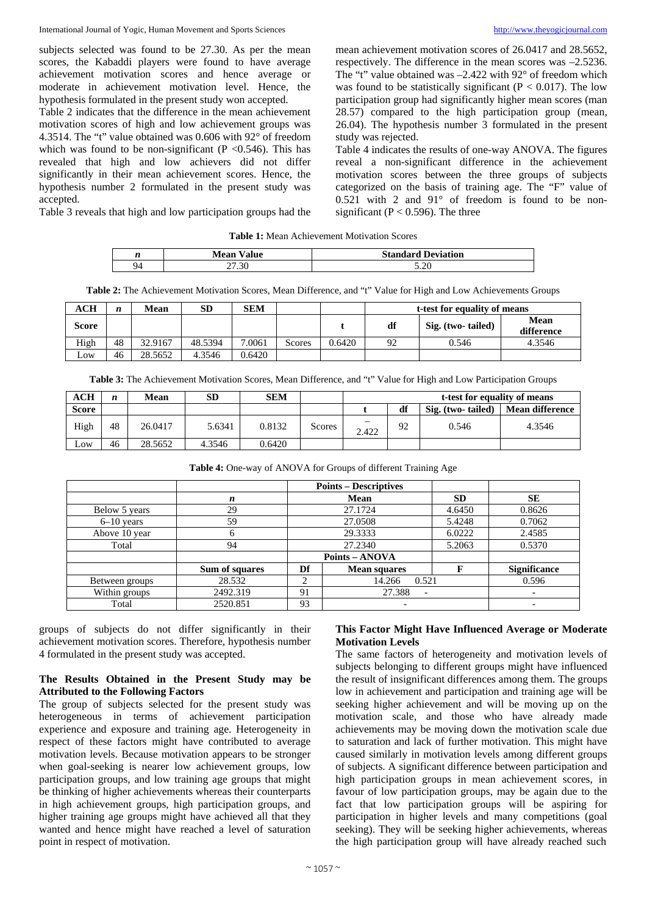subjects selected was found to be 27.30. As per the mean scores, the Kabaddi players were found to have average achievement motivation scores and hence average or moderate in achievement motivation level. Hence, the hypothesis formulated in the present study won accepted.

Table 2 indicates that the difference in the mean achievement motivation scores of high and low achievement groups was 4.3514. The "t" value obtained was 0.606 with 92° of freedom which was found to be non-significant ( $P < 0.546$ ). This has revealed that high and low achievers did not differ significantly in their mean achievement scores. Hence, the hypothesis number 2 formulated in the present study was accepted.

mean achievement motivation scores of 26.0417 and 28.5652, respectively. The difference in the mean scores was –2.5236. The "t" value obtained was –2.422 with 92° of freedom which was found to be statistically significant ( $P < 0.017$ ). The low participation group had significantly higher mean scores (man 28.57) compared to the high participation group (mean, 26.04). The hypothesis number 3 formulated in the present study was rejected.

Table 4 indicates the results of one-way ANOVA. The figures reveal a non-significant difference in the achievement motivation scores between the three groups of subjects categorized on the basis of training age. The "F" value of  $0.521$  with 2 and  $91^\circ$  of freedom is found to be nonsignificant ( $P < 0.596$ ). The three

Table 3 reveals that high and low participation groups had the

|  | <b>Table 1:</b> Mean Achievement Motivation Scores |  |  |
|--|----------------------------------------------------|--|--|
|--|----------------------------------------------------|--|--|

|    | Mean<br>/alue | <b>Standard</b><br><b>Deviation</b> |
|----|---------------|-------------------------------------|
| Q/ | $\sim$        | 5.20                                |

**Table 2:** The Achievement Motivation Scores, Mean Difference, and "t" Value for High and Low Achievements Groups

| ACH   | n  | Mean    | <b>SD</b> | SEM    |        |        | t-test for equality of means |                    |                    |
|-------|----|---------|-----------|--------|--------|--------|------------------------------|--------------------|--------------------|
| Score |    |         |           |        |        |        | df                           | Sig. (two- tailed) | Mean<br>difference |
| High  | 48 | 32.9167 | 48.5394   | .0061  | Scores | 0.6420 | 92                           | 0.546              | 4.3546             |
| LOW   | 46 | 28.5652 | 4.3546    | 0.6420 |        |        |                              |                    |                    |

**Table 3:** The Achievement Motivation Scores, Mean Difference, and "t" Value for High and Low Participation Groups

| ACH          | n  | Mean    | SD     | <b>SEM</b> |        | t-test for equality of means |    |                    |                        |
|--------------|----|---------|--------|------------|--------|------------------------------|----|--------------------|------------------------|
| <b>Score</b> |    |         |        |            |        |                              | df | Sig. (two- tailed) | <b>Mean difference</b> |
| High         | 48 | 26.0417 | 5.6341 | 0.8132     | Scores | 2.422                        | 92 | 0.546              | 4.3546                 |
| Low          | 46 | 28.5652 | 4.3546 | 0.6420     |        |                              |    |                    |                        |

|                |                |                | <b>Points – Descriptives</b>       |                          |                     |
|----------------|----------------|----------------|------------------------------------|--------------------------|---------------------|
|                | n              |                | Mean                               | <b>SD</b>                | SЕ                  |
| Below 5 years  | 29             |                | 27.1724                            | 4.6450                   | 0.8626              |
| $6-10$ years   | 59             |                | 27.0508                            | 5.4248                   | 0.7062              |
| Above 10 year  | 6              |                | 29.3333                            | 6.0222                   | 2.4585              |
| Total          | 94             |                | 27.2340                            | 5.2063                   | 0.5370              |
|                |                |                | Points – ANOVA                     |                          |                     |
|                | Sum of squares | Df             | <b>Mean squares</b>                | F                        | <b>Significance</b> |
| Between groups | 28.532         | $\overline{c}$ | 14.266<br>0.521                    |                          | 0.596               |
| Within groups  | 2492.319       | 91             | 27.388<br>$\overline{\phantom{a}}$ |                          |                     |
| Total          | 2520.851       | 93             | $\overline{\phantom{0}}$           | $\overline{\phantom{0}}$ |                     |

**Table 4:** One-way of ANOVA for Groups of different Training Age

groups of subjects do not differ significantly in their achievement motivation scores. Therefore, hypothesis number 4 formulated in the present study was accepted.

## **The Results Obtained in the Present Study may be Attributed to the Following Factors**

The group of subjects selected for the present study was heterogeneous in terms of achievement participation experience and exposure and training age. Heterogeneity in respect of these factors might have contributed to average motivation levels. Because motivation appears to be stronger when goal-seeking is nearer low achievement groups, low participation groups, and low training age groups that might be thinking of higher achievements whereas their counterparts in high achievement groups, high participation groups, and higher training age groups might have achieved all that they wanted and hence might have reached a level of saturation point in respect of motivation.

# **This Factor Might Have Influenced Average or Moderate Motivation Levels**

The same factors of heterogeneity and motivation levels of subjects belonging to different groups might have influenced the result of insignificant differences among them. The groups low in achievement and participation and training age will be seeking higher achievement and will be moving up on the motivation scale, and those who have already made achievements may be moving down the motivation scale due to saturation and lack of further motivation. This might have caused similarly in motivation levels among different groups of subjects. A significant difference between participation and high participation groups in mean achievement scores, in favour of low participation groups, may be again due to the fact that low participation groups will be aspiring for participation in higher levels and many competitions (goal seeking). They will be seeking higher achievements, whereas the high participation group will have already reached such